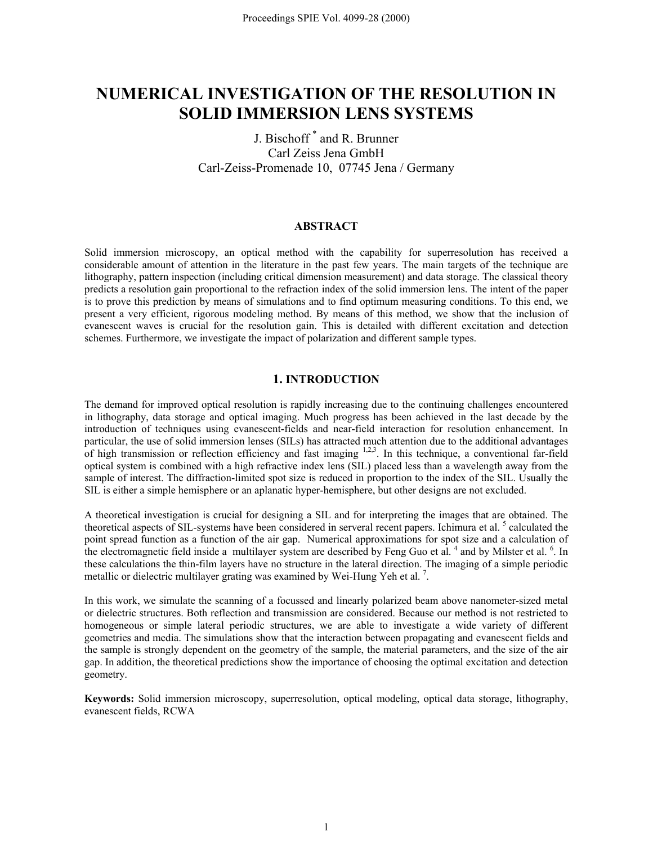# **NUMERICAL INVESTIGATION OF THE RESOLUTION IN SOLID IMMERSION LENS SYSTEMS**

# J. Bischoff \* and R. Brunner Carl Zeiss Jena GmbH Carl-Zeiss-Promenade 10, 07745 Jena / Germany

# **ABSTRACT**

Solid immersion microscopy, an optical method with the capability for superresolution has received a considerable amount of attention in the literature in the past few years. The main targets of the technique are lithography, pattern inspection (including critical dimension measurement) and data storage. The classical theory predicts a resolution gain proportional to the refraction index of the solid immersion lens. The intent of the paper is to prove this prediction by means of simulations and to find optimum measuring conditions. To this end, we present a very efficient, rigorous modeling method. By means of this method, we show that the inclusion of evanescent waves is crucial for the resolution gain. This is detailed with different excitation and detection schemes. Furthermore, we investigate the impact of polarization and different sample types.

# **1. INTRODUCTION**

The demand for improved optical resolution is rapidly increasing due to the continuing challenges encountered in lithography, data storage and optical imaging. Much progress has been achieved in the last decade by the introduction of techniques using evanescent-fields and near-field interaction for resolution enhancement. In particular, the use of solid immersion lenses (SILs) has attracted much attention due to the additional advantages of high transmission or reflection efficiency and fast imaging  $1,2,3$ . In this technique, a conventional far-field optical system is combined with a high refractive index lens (SIL) placed less than a wavelength away from the sample of interest. The diffraction-limited spot size is reduced in proportion to the index of the SIL. Usually the SIL is either a simple hemisphere or an aplanatic hyper-hemisphere, but other designs are not excluded.

A theoretical investigation is crucial for designing a SIL and for interpreting the images that are obtained. The theoretical aspects of SIL-systems have been considered in serveral recent papers. Ichimura et al.<sup>5</sup> calculated the point spread function as a function of the air gap. Numerical approximations for spot size and a calculation of the electromagnetic field inside a multilayer system are described by Feng Guo et al.  $4$  and by Milster et al.  $6$ . In these calculations the thin-film layers have no structure in the lateral direction. The imaging of a simple periodic metallic or dielectric multilayer grating was examined by Wei-Hung Yeh et al.<sup>7</sup>.

In this work, we simulate the scanning of a focussed and linearly polarized beam above nanometer-sized metal or dielectric structures. Both reflection and transmission are considered. Because our method is not restricted to homogeneous or simple lateral periodic structures, we are able to investigate a wide variety of different geometries and media. The simulations show that the interaction between propagating and evanescent fields and the sample is strongly dependent on the geometry of the sample, the material parameters, and the size of the air gap. In addition, the theoretical predictions show the importance of choosing the optimal excitation and detection geometry.

**Keywords:** Solid immersion microscopy, superresolution, optical modeling, optical data storage, lithography, evanescent fields, RCWA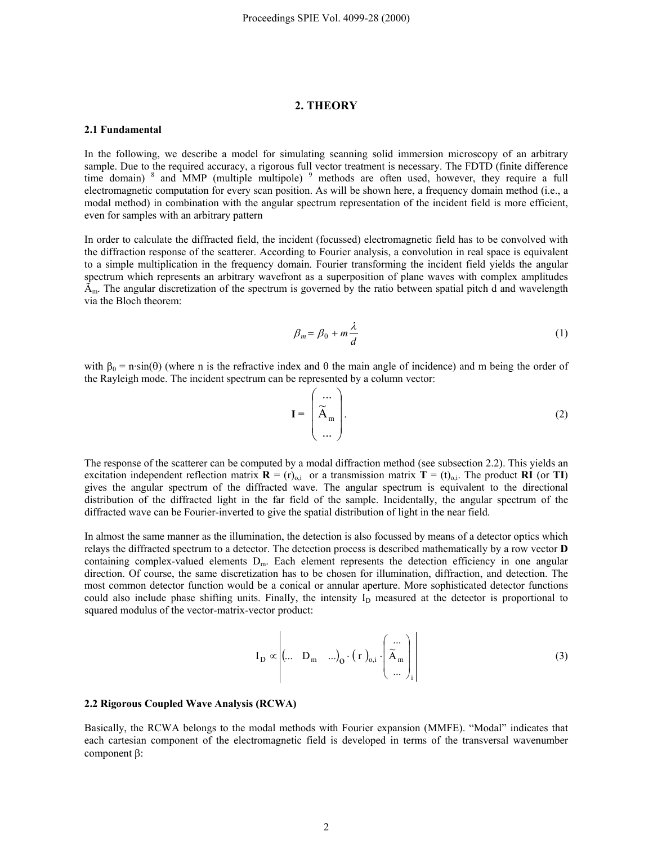### **2. THEORY**

#### **2.1 Fundamental**

In the following, we describe a model for simulating scanning solid immersion microscopy of an arbitrary sample. Due to the required accuracy, a rigorous full vector treatment is necessary. The FDTD (finite difference time domain) <sup>8</sup> and MMP (multiple multipole) <sup>9</sup> methods are often used, however, they require a full electromagnetic computation for every scan position. As will be shown here, a frequency domain method (i.e., a modal method) in combination with the angular spectrum representation of the incident field is more efficient, even for samples with an arbitrary pattern

In order to calculate the diffracted field, the incident (focussed) electromagnetic field has to be convolved with the diffraction response of the scatterer. According to Fourier analysis, a convolution in real space is equivalent to a simple multiplication in the frequency domain. Fourier transforming the incident field yields the angular spectrum which represents an arbitrary wavefront as a superposition of plane waves with complex amplitudes  $\tilde{A}_m$ . The angular discretization of the spectrum is governed by the ratio between spatial pitch d and wavelength via the Bloch theorem:

$$
\beta_m = \beta_0 + m \frac{\lambda}{d} \tag{1}
$$

with  $\beta_0 = n \cdot \sin(\theta)$  (where n is the refractive index and  $\theta$  the main angle of incidence) and m being the order of the Rayleigh mode. The incident spectrum can be represented by a column vector:

$$
\mathbf{I} = \begin{pmatrix} \cdots \\ \widetilde{\mathbf{A}}_{m} \\ \cdots \end{pmatrix} . \tag{2}
$$

The response of the scatterer can be computed by a modal diffraction method (see subsection 2.2). This yields an excitation independent reflection matrix  $\mathbf{R} = (r)_{o,i}$  or a transmission matrix  $\mathbf{T} = (t)_{o,i}$ . The product **RI** (or **TI**) gives the angular spectrum of the diffracted wave. The angular spectrum is equivalent to the directional distribution of the diffracted light in the far field of the sample. Incidentally, the angular spectrum of the diffracted wave can be Fourier-inverted to give the spatial distribution of light in the near field.

In almost the same manner as the illumination, the detection is also focussed by means of a detector optics which relays the diffracted spectrum to a detector. The detection process is described mathematically by a row vector **D** containing complex-valued elements  $D_m$ . Each element represents the detection efficiency in one angular direction. Of course, the same discretization has to be chosen for illumination, diffraction, and detection. The most common detector function would be a conical or annular aperture. More sophisticated detector functions could also include phase shifting units. Finally, the intensity I<sub>D</sub> measured at the detector is proportional to squared modulus of the vector-matrix-vector product:

$$
I_{D} \propto \left| \begin{pmatrix} \dots & D_{m} & \dots \end{pmatrix}_{0} \cdot \left( r \right)_{0,i} \cdot \left( \widetilde{A}_{m} \atop \dots \right)_{i} \right| \tag{3}
$$

#### **2.2 Rigorous Coupled Wave Analysis (RCWA)**

Basically, the RCWA belongs to the modal methods with Fourier expansion (MMFE). "Modal" indicates that each cartesian component of the electromagnetic field is developed in terms of the transversal wavenumber component β: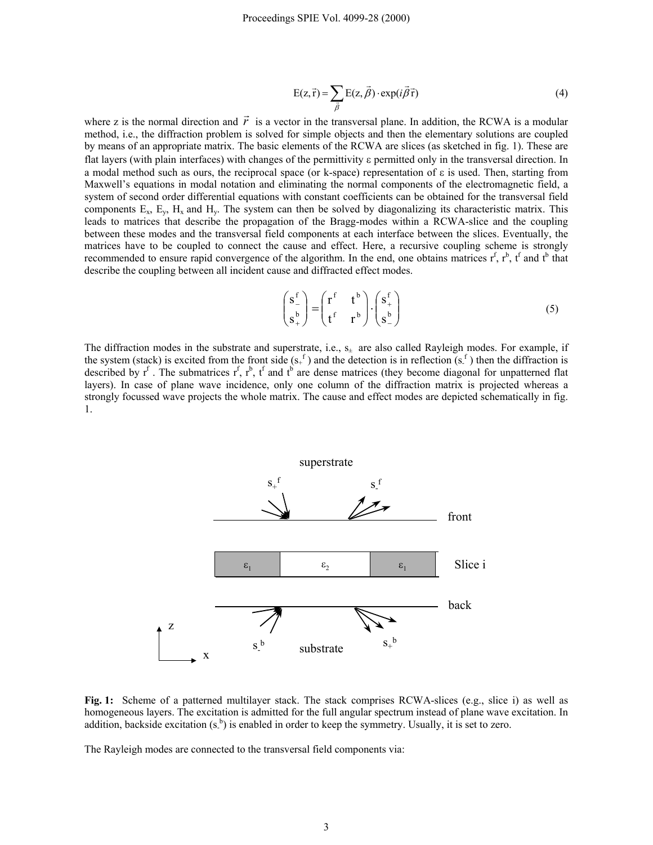$$
E(z, \vec{r}) = \sum_{\vec{\beta}} E(z, \vec{\beta}) \cdot \exp(i\vec{\beta}\vec{r})
$$
(4)

where z is the normal direction and  $\vec{r}$  is a vector in the transversal plane. In addition, the RCWA is a modular method, i.e., the diffraction problem is solved for simple objects and then the elementary solutions are coupled by means of an appropriate matrix. The basic elements of the RCWA are slices (as sketched in fig. 1). These are flat layers (with plain interfaces) with changes of the permittivity ε permitted only in the transversal direction. In a modal method such as ours, the reciprocal space (or k-space) representation of ε is used. Then, starting from Maxwell's equations in modal notation and eliminating the normal components of the electromagnetic field, a system of second order differential equations with constant coefficients can be obtained for the transversal field components  $E_x$ ,  $E_y$ ,  $H_x$  and  $H_y$ . The system can then be solved by diagonalizing its characteristic matrix. This leads to matrices that describe the propagation of the Bragg-modes within a RCWA-slice and the coupling between these modes and the transversal field components at each interface between the slices. Eventually, the matrices have to be coupled to connect the cause and effect. Here, a recursive coupling scheme is strongly recommended to ensure rapid convergence of the algorithm. In the end, one obtains matrices  $r^f$ ,  $r^b$ ,  $t^f$  and  $t^b$  that describe the coupling between all incident cause and diffracted effect modes.

$$
\begin{pmatrix} \mathbf{s}_-^{\mathbf{f}} \\ \mathbf{s}_+^{\mathbf{b}} \end{pmatrix} = \begin{pmatrix} \mathbf{r}^{\mathbf{f}} & \mathbf{t}^{\mathbf{b}} \\ \mathbf{t}^{\mathbf{f}} & \mathbf{r}^{\mathbf{b}} \end{pmatrix} \cdot \begin{pmatrix} \mathbf{s}_+^{\mathbf{f}} \\ \mathbf{s}_-^{\mathbf{b}} \end{pmatrix}
$$
 (5)

The diffraction modes in the substrate and superstrate, i.e.,  $s_{\pm}$  are also called Rayleigh modes. For example, if the system (stack) is excited from the front side  $(s<sub>+</sub>^f)$  and the detection is in reflection  $(s<sub>+</sub>^f)$  then the diffraction is described by  $r^f$ . The submatrices  $r^f$ ,  $r^b$ ,  $t^f$  and  $t^b$  are dense matrices (they become diagonal for unpatterned flat layers). In case of plane wave incidence, only one column of the diffraction matrix is projected whereas a strongly focussed wave projects the whole matrix. The cause and effect modes are depicted schematically in fig. 1.





The Rayleigh modes are connected to the transversal field components via: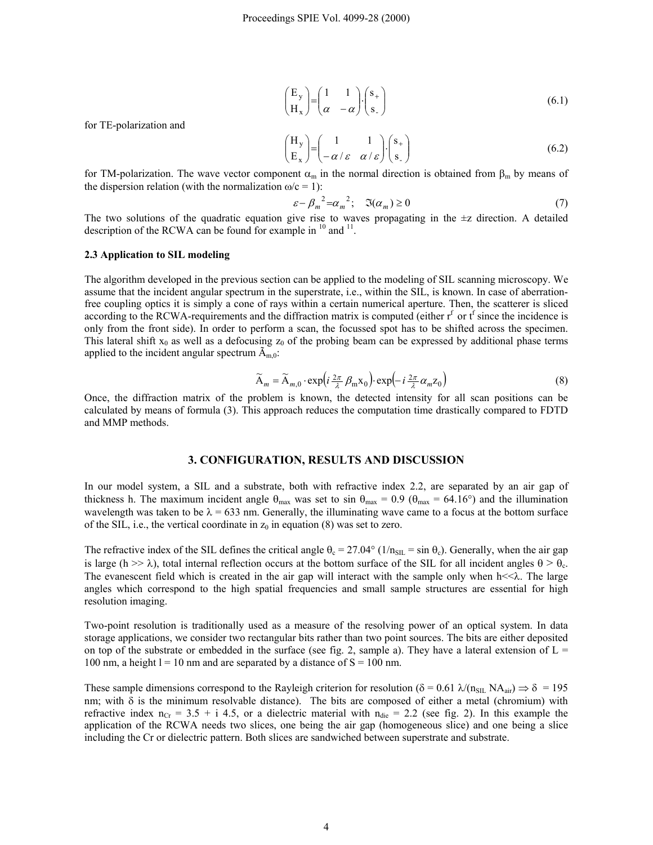$$
\begin{pmatrix} E_y \ H_x \end{pmatrix} = \begin{pmatrix} 1 & 1 \ \alpha & -\alpha \end{pmatrix} \cdot \begin{pmatrix} s_+ \ s_- \end{pmatrix}
$$
\n(6.1)

for TE-polarization and

$$
\begin{pmatrix} H_y \\ E_x \end{pmatrix} = \begin{pmatrix} 1 & 1 \\ -\alpha/\varepsilon & \alpha/\varepsilon \end{pmatrix} \cdot \begin{pmatrix} s_+ \\ s_- \end{pmatrix}
$$
 (6.2)

for TM-polarization. The wave vector component  $\alpha_m$  in the normal direction is obtained from  $\beta_m$  by means of the dispersion relation (with the normalization  $\omega/c = 1$ ):

$$
\varepsilon - \beta_m^2 = \alpha_m^2; \quad \mathfrak{I}(\alpha_m) \ge 0 \tag{7}
$$

The two solutions of the quadratic equation give rise to waves propagating in the  $\pm z$  direction. A detailed description of the RCWA can be found for example in <sup>10</sup> and <sup>11</sup>.

#### **2.3 Application to SIL modeling**

The algorithm developed in the previous section can be applied to the modeling of SIL scanning microscopy. We assume that the incident angular spectrum in the superstrate, i.e., within the SIL, is known. In case of aberrationfree coupling optics it is simply a cone of rays within a certain numerical aperture. Then, the scatterer is sliced according to the RCWA-requirements and the diffraction matrix is computed (either  $r<sup>f</sup>$  or  $f<sup>f</sup>$  since the incidence is only from the front side). In order to perform a scan, the focussed spot has to be shifted across the specimen. This lateral shift  $x_0$  as well as a defocusing  $z_0$  of the probing beam can be expressed by additional phase terms applied to the incident angular spectrum  $\tilde{A}_{m,0}$ :

$$
\widetilde{\mathbf{A}}_m = \widetilde{\mathbf{A}}_{m,0} \cdot \exp\left(i\frac{2\pi}{\lambda} \beta_m \mathbf{x}_0\right) \cdot \exp\left(-i\frac{2\pi}{\lambda} \alpha_m \mathbf{z}_0\right) \tag{8}
$$

Once, the diffraction matrix of the problem is known, the detected intensity for all scan positions can be calculated by means of formula (3). This approach reduces the computation time drastically compared to FDTD and MMP methods.

# **3. CONFIGURATION, RESULTS AND DISCUSSION**

In our model system, a SIL and a substrate, both with refractive index 2.2, are separated by an air gap of thickness h. The maximum incident angle  $\theta_{\text{max}}$  was set to sin  $\theta_{\text{max}} = 0.9$  ( $\theta_{\text{max}} = 64.16^{\circ}$ ) and the illumination wavelength was taken to be  $\lambda = 633$  nm. Generally, the illuminating wave came to a focus at the bottom surface of the SIL, i.e., the vertical coordinate in  $z_0$  in equation (8) was set to zero.

The refractive index of the SIL defines the critical angle  $\theta_c = 27.04^\circ$  ( $1/n_{\text{SIL}} = \sin \theta_c$ ). Generally, when the air gap is large (h  $>> \lambda$ ), total internal reflection occurs at the bottom surface of the SIL for all incident angles  $\theta > \theta_c$ . The evanescent field which is created in the air gap will interact with the sample only when  $h \ll \lambda$ . The large angles which correspond to the high spatial frequencies and small sample structures are essential for high resolution imaging.

Two-point resolution is traditionally used as a measure of the resolving power of an optical system. In data storage applications, we consider two rectangular bits rather than two point sources. The bits are either deposited on top of the substrate or embedded in the surface (see fig. 2, sample a). They have a lateral extension of  $L =$ 100 nm, a height  $l = 10$  nm and are separated by a distance of  $S = 100$  nm.

These sample dimensions correspond to the Rayleigh criterion for resolution ( $\delta = 0.61 \lambda/(n_{\text{SIL}} N A_{\text{air}}) \Rightarrow \delta = 195$ nm; with  $\delta$  is the minimum resolvable distance). The bits are composed of either a metal (chromium) with refractive index  $n_{Cr}$  = 3.5 + i 4.5, or a dielectric material with  $n_{die}$  = 2.2 (see fig. 2). In this example the application of the RCWA needs two slices, one being the air gap (homogeneous slice) and one being a slice including the Cr or dielectric pattern. Both slices are sandwiched between superstrate and substrate.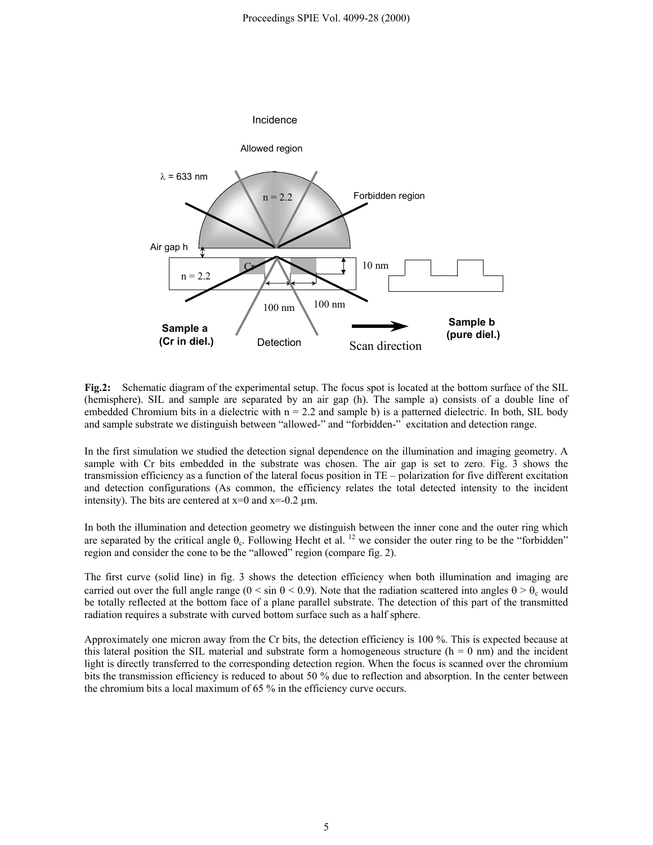

**Fig.2:** Schematic diagram of the experimental setup. The focus spot is located at the bottom surface of the SIL (hemisphere). SIL and sample are separated by an air gap (h). The sample a) consists of a double line of embedded Chromium bits in a dielectric with  $n = 2.2$  and sample b) is a patterned dielectric. In both, SIL body and sample substrate we distinguish between "allowed-" and "forbidden-" excitation and detection range.

In the first simulation we studied the detection signal dependence on the illumination and imaging geometry. A sample with Cr bits embedded in the substrate was chosen. The air gap is set to zero. Fig. 3 shows the transmission efficiency as a function of the lateral focus position in TE – polarization for five different excitation and detection configurations (As common, the efficiency relates the total detected intensity to the incident intensity). The bits are centered at  $x=0$  and  $x=-0.2 \mu m$ .

In both the illumination and detection geometry we distinguish between the inner cone and the outer ring which are separated by the critical angle  $\theta_c$ . Following Hecht et al. <sup>12</sup> we consider the outer ring to be the "forbidden" region and consider the cone to be the "allowed" region (compare fig. 2).

The first curve (solid line) in fig. 3 shows the detection efficiency when both illumination and imaging are carried out over the full angle range ( $0 \le \sin \theta \le 0.9$ ). Note that the radiation scattered into angles  $\theta > \theta_c$  would be totally reflected at the bottom face of a plane parallel substrate. The detection of this part of the transmitted radiation requires a substrate with curved bottom surface such as a half sphere.

Approximately one micron away from the Cr bits, the detection efficiency is 100 %. This is expected because at this lateral position the SIL material and substrate form a homogeneous structure ( $h = 0$  nm) and the incident light is directly transferred to the corresponding detection region. When the focus is scanned over the chromium bits the transmission efficiency is reduced to about 50 % due to reflection and absorption. In the center between the chromium bits a local maximum of 65 % in the efficiency curve occurs.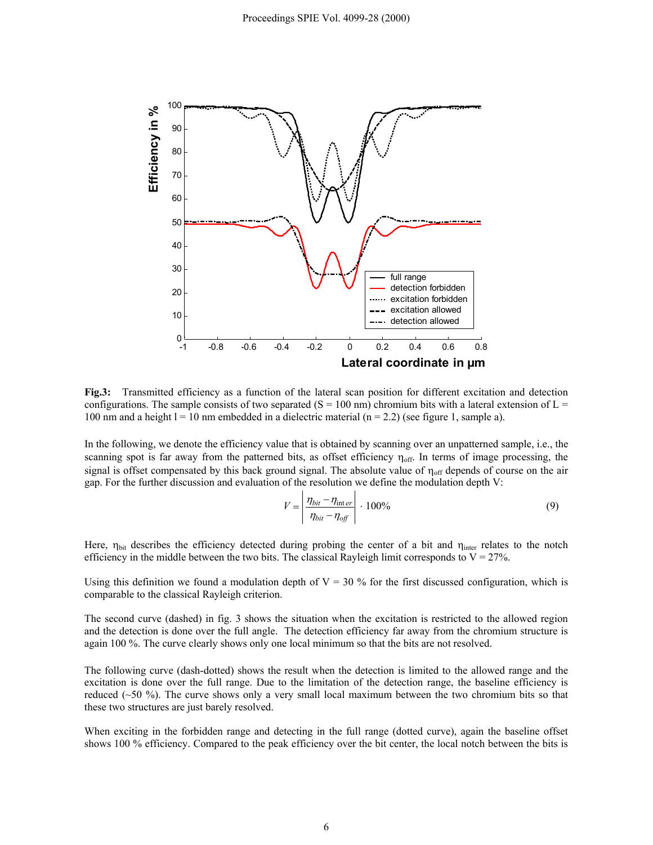

**Fig.3:** Transmitted efficiency as a function of the lateral scan position for different excitation and detection configurations. The sample consists of two separated ( $S = 100$  nm) chromium bits with a lateral extension of  $L =$ 100 nm and a height  $l = 10$  nm embedded in a dielectric material  $(n = 2.2)$  (see figure 1, sample a).

In the following, we denote the efficiency value that is obtained by scanning over an unpatterned sample, i.e., the scanning spot is far away from the patterned bits, as offset efficiency  $\eta_{off}$ . In terms of image processing, the signal is offset compensated by this back ground signal. The absolute value of  $\eta_{off}$  depends of course on the air gap. For the further discussion and evaluation of the resolution we define the modulation depth V:

$$
V = \left| \frac{\eta_{bit} - \eta_{\text{int }er}}{\eta_{bit} - \eta_{off}} \right| \cdot 100\%
$$
\n(9)

Here,  $\eta_{\text{bit}}$  describes the efficiency detected during probing the center of a bit and  $\eta_{\text{inter}}$  relates to the notch efficiency in the middle between the two bits. The classical Rayleigh limit corresponds to  $V = 27\%$ .

Using this definition we found a modulation depth of  $V = 30\%$  for the first discussed configuration, which is comparable to the classical Rayleigh criterion.

The second curve (dashed) in fig. 3 shows the situation when the excitation is restricted to the allowed region and the detection is done over the full angle. The detection efficiency far away from the chromium structure is again 100 %. The curve clearly shows only one local minimum so that the bits are not resolved.

The following curve (dash-dotted) shows the result when the detection is limited to the allowed range and the excitation is done over the full range. Due to the limitation of the detection range, the baseline efficiency is reduced (~50 %). The curve shows only a very small local maximum between the two chromium bits so that these two structures are just barely resolved.

When exciting in the forbidden range and detecting in the full range (dotted curve), again the baseline offset shows 100 % efficiency. Compared to the peak efficiency over the bit center, the local notch between the bits is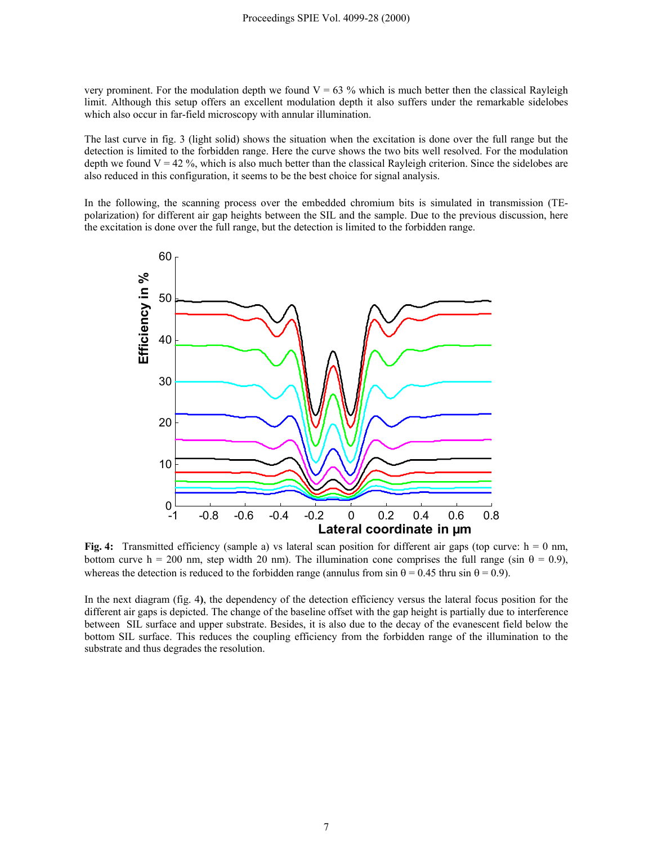very prominent. For the modulation depth we found  $V = 63$  % which is much better then the classical Rayleigh limit. Although this setup offers an excellent modulation depth it also suffers under the remarkable sidelobes which also occur in far-field microscopy with annular illumination.

The last curve in fig. 3 (light solid) shows the situation when the excitation is done over the full range but the detection is limited to the forbidden range. Here the curve shows the two bits well resolved. For the modulation depth we found  $V = 42\%$ , which is also much better than the classical Rayleigh criterion. Since the sidelobes are also reduced in this configuration, it seems to be the best choice for signal analysis.

In the following, the scanning process over the embedded chromium bits is simulated in transmission (TEpolarization) for different air gap heights between the SIL and the sample. Due to the previous discussion, here the excitation is done over the full range, but the detection is limited to the forbidden range.



**Fig. 4:** Transmitted efficiency (sample a) vs lateral scan position for different air gaps (top curve:  $h = 0$  nm, bottom curve h = 200 nm, step width 20 nm). The illumination cone comprises the full range (sin  $\theta$  = 0.9), whereas the detection is reduced to the forbidden range (annulus from sin  $\theta = 0.45$  thru sin  $\theta = 0.9$ ).

In the next diagram (fig. 4**)**, the dependency of the detection efficiency versus the lateral focus position for the different air gaps is depicted. The change of the baseline offset with the gap height is partially due to interference between SIL surface and upper substrate. Besides, it is also due to the decay of the evanescent field below the bottom SIL surface. This reduces the coupling efficiency from the forbidden range of the illumination to the substrate and thus degrades the resolution.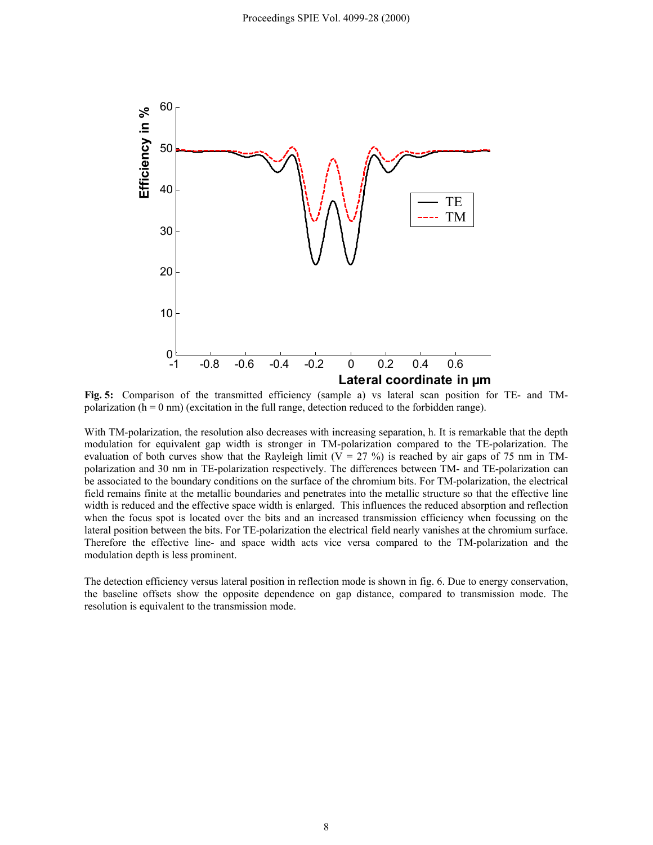

**Fig. 5:** Comparison of the transmitted efficiency (sample a) vs lateral scan position for TE- and TMpolarization  $(h = 0 \text{ nm})$  (excitation in the full range, detection reduced to the forbidden range).

With TM-polarization, the resolution also decreases with increasing separation, h. It is remarkable that the depth modulation for equivalent gap width is stronger in TM-polarization compared to the TE-polarization. The evaluation of both curves show that the Rayleigh limit ( $V = 27$ %) is reached by air gaps of 75 nm in TMpolarization and 30 nm in TE-polarization respectively. The differences between TM- and TE-polarization can be associated to the boundary conditions on the surface of the chromium bits. For TM-polarization, the electrical field remains finite at the metallic boundaries and penetrates into the metallic structure so that the effective line width is reduced and the effective space width is enlarged. This influences the reduced absorption and reflection when the focus spot is located over the bits and an increased transmission efficiency when focussing on the lateral position between the bits. For TE-polarization the electrical field nearly vanishes at the chromium surface. Therefore the effective line- and space width acts vice versa compared to the TM-polarization and the modulation depth is less prominent.

The detection efficiency versus lateral position in reflection mode is shown in fig. 6. Due to energy conservation, the baseline offsets show the opposite dependence on gap distance, compared to transmission mode. The resolution is equivalent to the transmission mode.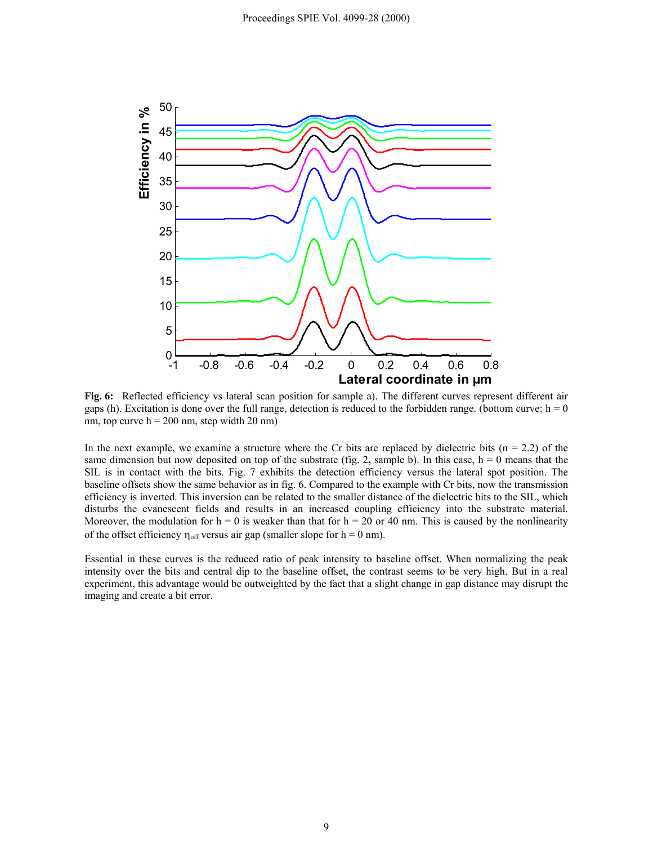

**Fig. 6:** Reflected efficiency vs lateral scan position for sample a). The different curves represent different air gaps (h). Excitation is done over the full range, detection is reduced to the forbidden range. (bottom curve:  $h = 0$ nm, top curve  $h = 200$  nm, step width 20 nm)

In the next example, we examine a structure where the Cr bits are replaced by dielectric bits ( $n = 2.2$ ) of the same dimension but now deposited on top of the substrate (fig. 2, sample b). In this case,  $h = 0$  means that the SIL is in contact with the bits. Fig. 7 exhibits the detection efficiency versus the lateral spot position. The baseline offsets show the same behavior as in fig. 6. Compared to the example with Cr bits, now the transmission efficiency is inverted. This inversion can be related to the smaller distance of the dielectric bits to the SIL, which disturbs the evanescent fields and results in an increased coupling efficiency into the substrate material. Moreover, the modulation for  $h = 0$  is weaker than that for  $h = 20$  or 40 nm. This is caused by the nonlinearity of the offset efficiency  $\eta_{off}$  versus air gap (smaller slope for h = 0 nm).

Essential in these curves is the reduced ratio of peak intensity to baseline offset. When normalizing the peak intensity over the bits and central dip to the baseline offset, the contrast seems to be very high. But in a real experiment, this advantage would be outweighted by the fact that a slight change in gap distance may disrupt the imaging and create a bit error.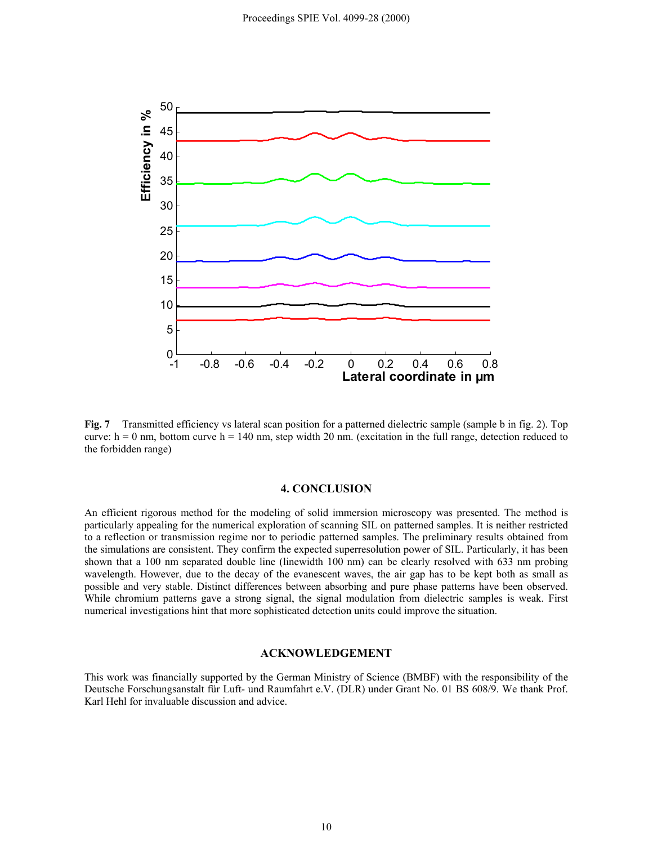

**Fig. 7** Transmitted efficiency vs lateral scan position for a patterned dielectric sample (sample b in fig. 2). Top curve:  $h = 0$  nm, bottom curve  $h = 140$  nm, step width 20 nm. (excitation in the full range, detection reduced to the forbidden range)

#### **4. CONCLUSION**

An efficient rigorous method for the modeling of solid immersion microscopy was presented. The method is particularly appealing for the numerical exploration of scanning SIL on patterned samples. It is neither restricted to a reflection or transmission regime nor to periodic patterned samples. The preliminary results obtained from the simulations are consistent. They confirm the expected superresolution power of SIL. Particularly, it has been shown that a 100 nm separated double line (linewidth 100 nm) can be clearly resolved with 633 nm probing wavelength. However, due to the decay of the evanescent waves, the air gap has to be kept both as small as possible and very stable. Distinct differences between absorbing and pure phase patterns have been observed. While chromium patterns gave a strong signal, the signal modulation from dielectric samples is weak. First numerical investigations hint that more sophisticated detection units could improve the situation.

#### **ACKNOWLEDGEMENT**

This work was financially supported by the German Ministry of Science (BMBF) with the responsibility of the Deutsche Forschungsanstalt für Luft- und Raumfahrt e.V. (DLR) under Grant No. 01 BS 608/9. We thank Prof. Karl Hehl for invaluable discussion and advice.